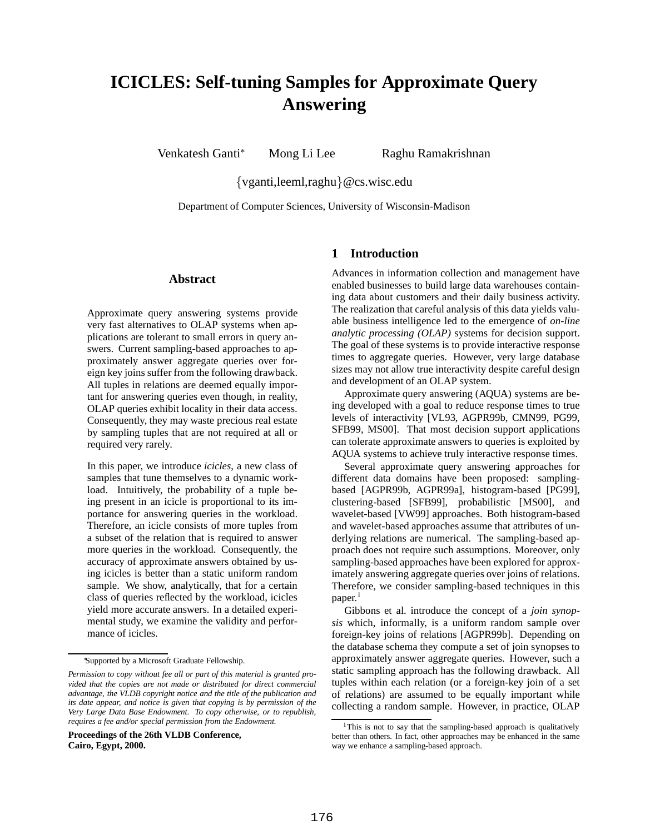# **ICICLES: Self-tuning Samples for Approximate Query Answering**

Venkatesh Ganti\* Mong Li Lee Raghu Ramakrishnan

{vganti,leeml,raghu}@cs.wisc.edu

Department of Computer Sciences, University of Wisconsin-Madison

## **Abstract**

Approximate query answering systems provide very fast alternatives to OLAP systems when applications are tolerant to small errors in query answers. Current sampling-based approaches to approximately answer aggregate queries over foreign key joins suffer from the following drawback. All tuples in relations are deemed equally important for answering queries even though, in reality, OLAP queries exhibit locality in their data access. Consequently, they may waste precious real estate by sampling tuples that are not required at all or required very rarely.

In this paper, we introduce *icicles*, a new class of samples that tune themselves to a dynamic workload. Intuitively, the probability of a tuple being present in an icicle is proportional to its importance for answering queries in the workload. Therefore, an icicle consists of more tuples from a subset of the relation that is required to answer more queries in the workload. Consequently, the accuracy of approximate answers obtained by using icicles is better than a static uniform random sample. We show, analytically, that for a certain class of queries reflected by the workload, icicles yield more accurate answers. In a detailed experimental study, we examine the validity and performance of icicles.

<sup>∗</sup>Supported by a Microsoft Graduate Fellowship.

**Proceedings of the 26th VLDB Conference, Cairo, Egypt, 2000.**

## **1 Introduction**

Advances in information collection and management have enabled businesses to build large data warehouses containing data about customers and their daily business activity. The realization that careful analysis of this data yields valuable business intelligence led to the emergence of *on-line analytic processing (OLAP)* systems for decision support. The goal of these systems is to provide interactive response times to aggregate queries. However, very large database sizes may not allow true interactivity despite careful design and development of an OLAP system.

Approximate query answering (AQUA) systems are being developed with a goal to reduce response times to true levels of interactivity [VL93, AGPR99b, CMN99, PG99, SFB99, MS00]. That most decision support applications can tolerate approximate answers to queries is exploited by AQUA systems to achieve truly interactive response times.

Several approximate query answering approaches for different data domains have been proposed: samplingbased [AGPR99b, AGPR99a], histogram-based [PG99], clustering-based [SFB99], probabilistic [MS00], and wavelet-based [VW99] approaches. Both histogram-based and wavelet-based approaches assume that attributes of underlying relations are numerical. The sampling-based approach does not require such assumptions. Moreover, only sampling-based approaches have been explored for approximately answering aggregate queries over joins of relations. Therefore, we consider sampling-based techniques in this paper. 1

Gibbons et al. introduce the concept of a *join synopsis* which, informally, is a uniform random sample over foreign-key joins of relations [AGPR99b]. Depending on the database schema they compute a set of join synopses to approximately answer aggregate queries. However, such a static sampling approach has the following drawback. All tuples within each relation (or a foreign-key join of a set of relations) are assumed to be equally important while collecting a random sample. However, in practice, OLAP

*Permission to copy without fee all or part of this material is granted provided that the copies are not made or distributed for direct commercial advantage, the VLDB copyright notice and the title of the publication and its date appear, and notice is given that copying is by permission of the Very Large Data Base Endowment. To copy otherwise, or to republish, requires a fee and/or special permission from the Endowment.*

<sup>&</sup>lt;sup>1</sup>This is not to say that the sampling-based approach is qualitatively better than others. In fact, other approaches may be enhanced in the same way we enhance a sampling-based approach.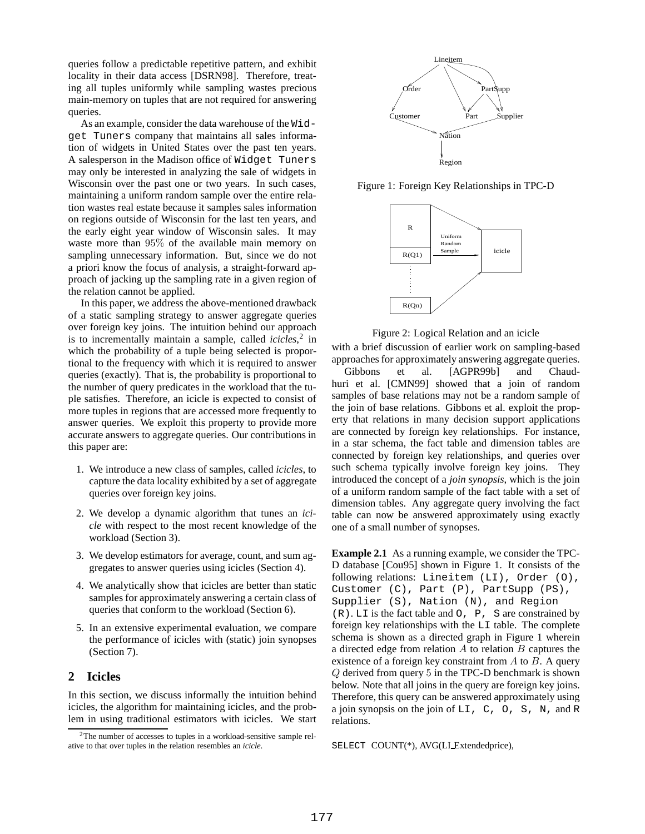queries follow a predictable repetitive pattern, and exhibit locality in their data access [DSRN98]. Therefore, treating all tuples uniformly while sampling wastes precious main-memory on tuples that are not required for answering queries.

As an example, consider the data warehouse of the Widget Tuners company that maintains all sales information of widgets in United States over the past ten years. A salesperson in the Madison office of Widget Tuners may only be interested in analyzing the sale of widgets in Wisconsin over the past one or two years. In such cases, maintaining a uniform random sample over the entire relation wastes real estate because it samples sales information on regions outside of Wisconsin for the last ten years, and the early eight year window of Wisconsin sales. It may waste more than 95% of the available main memory on sampling unnecessary information. But, since we do not a priori know the focus of analysis, a straight-forward approach of jacking up the sampling rate in a given region of the relation cannot be applied.

In this paper, we address the above-mentioned drawback of a static sampling strategy to answer aggregate queries over foreign key joins. The intuition behind our approach is to incrementally maintain a sample, called *icicles*, 2 in which the probability of a tuple being selected is proportional to the frequency with which it is required to answer queries (exactly). That is, the probability is proportional to the number of query predicates in the workload that the tuple satisfies. Therefore, an icicle is expected to consist of more tuples in regions that are accessed more frequently to answer queries. We exploit this property to provide more accurate answers to aggregate queries. Our contributions in this paper are:

- 1. We introduce a new class of samples, called *icicles*, to capture the data locality exhibited by a set of aggregate queries over foreign key joins.
- 2. We develop a dynamic algorithm that tunes an *icicle* with respect to the most recent knowledge of the workload (Section 3).
- 3. We develop estimators for average, count, and sum aggregates to answer queries using icicles (Section 4).
- 4. We analytically show that icicles are better than static samples for approximately answering a certain class of queries that conform to the workload (Section 6).
- 5. In an extensive experimental evaluation, we compare the performance of icicles with (static) join synopses (Section 7).

# **2 Icicles**

In this section, we discuss informally the intuition behind icicles, the algorithm for maintaining icicles, and the problem in using traditional estimators with icicles. We start



Figure 1: Foreign Key Relationships in TPC-D





with a brief discussion of earlier work on sampling-based approaches for approximately answering aggregate queries. Gibbons et al. [AGPR99b] and Chaud-

huri et al. [CMN99] showed that a join of random samples of base relations may not be a random sample of the join of base relations. Gibbons et al. exploit the property that relations in many decision support applications are connected by foreign key relationships. For instance, in a star schema, the fact table and dimension tables are connected by foreign key relationships, and queries over such schema typically involve foreign key joins. They introduced the concept of a *join synopsis*, which is the join of a uniform random sample of the fact table with a set of dimension tables. Any aggregate query involving the fact table can now be answered approximately using exactly one of a small number of synopses.

**Example 2.1** As a running example, we consider the TPC-D database [Cou95] shown in Figure 1. It consists of the following relations: Lineitem (LI), Order (O), Customer (C), Part (P), PartSupp (PS), Supplier (S), Nation (N), and Region  $(R)$ . LI is the fact table and  $O$ , P, S are constrained by foreign key relationships with the LI table. The complete schema is shown as a directed graph in Figure 1 wherein a directed edge from relation  $A$  to relation  $B$  captures the existence of a foreign key constraint from  $A$  to  $B$ . A query Q derived from query 5 in the TPC-D benchmark is shown below. Note that all joins in the query are foreign key joins. Therefore, this query can be answered approximately using a join synopsis on the join of LI, C, O, S, N, and R relations.

SELECT COUNT(\*), AVG(LI Extendedprice),

<sup>2</sup>The number of accesses to tuples in a workload-sensitive sample relative to that over tuples in the relation resembles an *icicle*.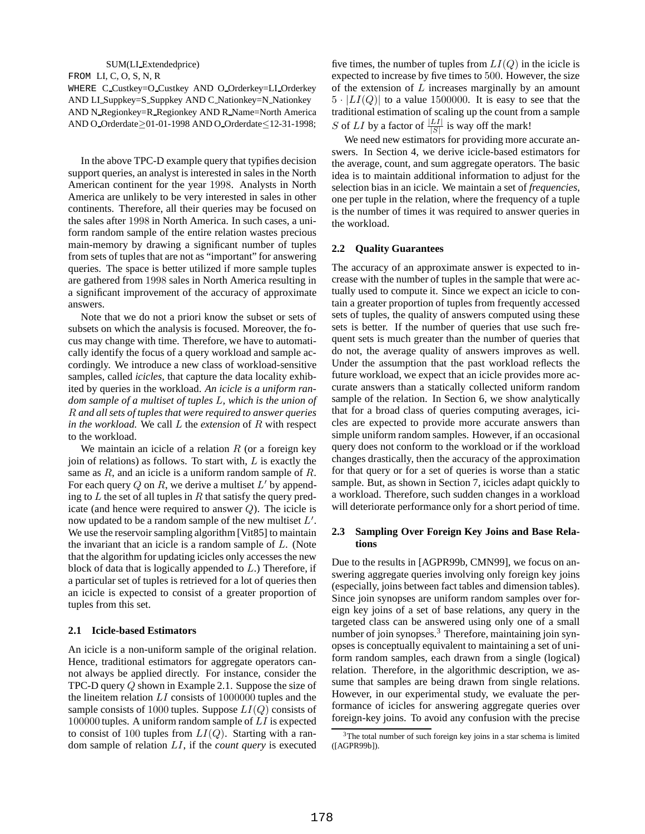#### SUM(LI Extendedprice)

FROM LI, C, O, S, N, R

WHERE C Custkey=O Custkey AND O Orderkey=LI Orderkey AND LI Suppkey=S Suppkey AND C Nationkey=N Nationkey AND N Regionkey=R Regionkey AND R Name=North America AND O Orderdate≥01-01-1998 AND O Orderdate≤12-31-1998;

In the above TPC-D example query that typifies decision support queries, an analyst is interested in sales in the North American continent for the year 1998. Analysts in North America are unlikely to be very interested in sales in other continents. Therefore, all their queries may be focused on the sales after 1998 in North America. In such cases, a uniform random sample of the entire relation wastes precious main-memory by drawing a significant number of tuples from sets of tuples that are not as "important" for answering queries. The space is better utilized if more sample tuples are gathered from 1998 sales in North America resulting in a significant improvement of the accuracy of approximate answers.

Note that we do not a priori know the subset or sets of subsets on which the analysis is focused. Moreover, the focus may change with time. Therefore, we have to automatically identify the focus of a query workload and sample accordingly. We introduce a new class of workload-sensitive samples, called *icicles*, that capture the data locality exhibited by queries in the workload. *An icicle is a uniform random sample of a multiset of tuples* L*, which is the union of* R *and all sets of tuples that were required to answer queries in the workload.* We call L the *extension* of R with respect to the workload.

We maintain an icicle of a relation  $R$  (or a foreign key join of relations) as follows. To start with,  $L$  is exactly the same as  $R$ , and an icicle is a uniform random sample of  $R$ . For each query Q on R, we derive a multiset  $L'$  by appending to  $L$  the set of all tuples in  $R$  that satisfy the query predicate (and hence were required to answer  $Q$ ). The icicle is now updated to be a random sample of the new multiset  $L'$ . We use the reservoir sampling algorithm [Vit85] to maintain the invariant that an icicle is a random sample of L. (Note that the algorithm for updating icicles only accesses the new block of data that is logically appended to  $L$ .) Therefore, if a particular set of tuples is retrieved for a lot of queries then an icicle is expected to consist of a greater proportion of tuples from this set.

### **2.1 Icicle-based Estimators**

An icicle is a non-uniform sample of the original relation. Hence, traditional estimators for aggregate operators cannot always be applied directly. For instance, consider the TPC-D query Q shown in Example 2.1. Suppose the size of the lineitem relation  $LI$  consists of 1000000 tuples and the sample consists of 1000 tuples. Suppose  $LI(Q)$  consists of 100000 tuples. A uniform random sample of  $LI$  is expected to consist of 100 tuples from  $LI(Q)$ . Starting with a random sample of relation LI, if the *count query* is executed

five times, the number of tuples from  $LI(Q)$  in the icicle is expected to increase by five times to 500. However, the size of the extension of  $L$  increases marginally by an amount  $5 \cdot |LI(Q)|$  to a value 1500000. It is easy to see that the traditional estimation of scaling up the count from a sample S of LI by a factor of  $\frac{|LI|}{|S|}$  is way off the mark!

We need new estimators for providing more accurate answers. In Section 4, we derive icicle-based estimators for the average, count, and sum aggregate operators. The basic idea is to maintain additional information to adjust for the selection bias in an icicle. We maintain a set of *frequencies*, one per tuple in the relation, where the frequency of a tuple is the number of times it was required to answer queries in the workload.

#### **2.2 Quality Guarantees**

The accuracy of an approximate answer is expected to increase with the number of tuples in the sample that were actually used to compute it. Since we expect an icicle to contain a greater proportion of tuples from frequently accessed sets of tuples, the quality of answers computed using these sets is better. If the number of queries that use such frequent sets is much greater than the number of queries that do not, the average quality of answers improves as well. Under the assumption that the past workload reflects the future workload, we expect that an icicle provides more accurate answers than a statically collected uniform random sample of the relation. In Section 6, we show analytically that for a broad class of queries computing averages, icicles are expected to provide more accurate answers than simple uniform random samples. However, if an occasional query does not conform to the workload or if the workload changes drastically, then the accuracy of the approximation for that query or for a set of queries is worse than a static sample. But, as shown in Section 7, icicles adapt quickly to a workload. Therefore, such sudden changes in a workload will deteriorate performance only for a short period of time.

## **2.3 Sampling Over Foreign Key Joins and Base Relations**

Due to the results in [AGPR99b, CMN99], we focus on answering aggregate queries involving only foreign key joins (especially, joins between fact tables and dimension tables). Since join synopses are uniform random samples over foreign key joins of a set of base relations, any query in the targeted class can be answered using only one of a small number of join synopses.<sup>3</sup> Therefore, maintaining join synopses is conceptually equivalent to maintaining a set of uniform random samples, each drawn from a single (logical) relation. Therefore, in the algorithmic description, we assume that samples are being drawn from single relations. However, in our experimental study, we evaluate the performance of icicles for answering aggregate queries over foreign-key joins. To avoid any confusion with the precise

<sup>&</sup>lt;sup>3</sup>The total number of such foreign key joins in a star schema is limited ([AGPR99b]).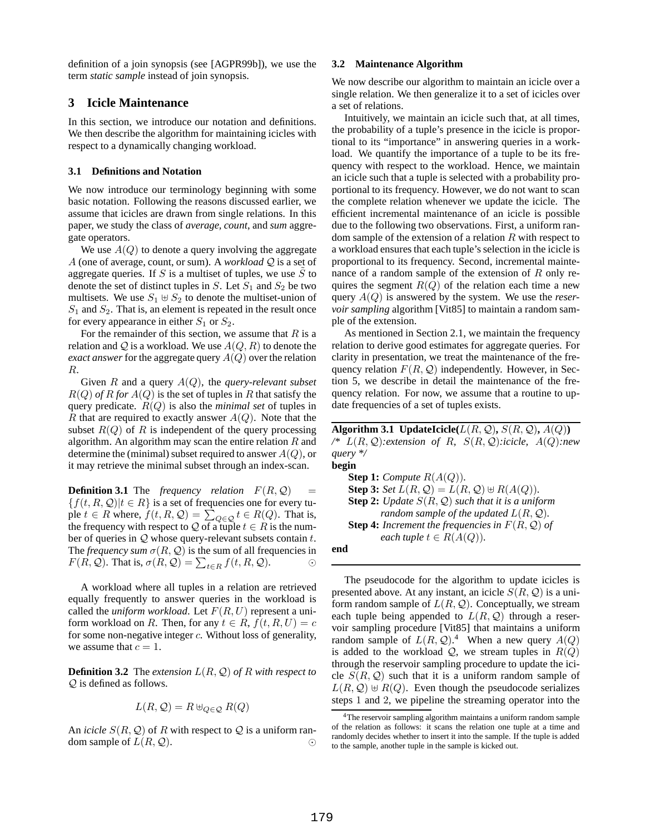definition of a join synopsis (see [AGPR99b]), we use the term *static sample* instead of join synopsis.

## **3 Icicle Maintenance**

In this section, we introduce our notation and definitions. We then describe the algorithm for maintaining icicles with respect to a dynamically changing workload.

### **3.1 Definitions and Notation**

We now introduce our terminology beginning with some basic notation. Following the reasons discussed earlier, we assume that icicles are drawn from single relations. In this paper, we study the class of *average, count*, and *sum* aggregate operators.

We use  $A(Q)$  to denote a query involving the aggregate A (one of average, count, or sum). A *workload* Q is a set of aggregate queries. If S is a multiset of tuples, we use S to denote the set of distinct tuples in S. Let  $S_1$  and  $S_2$  be two multisets. We use  $S_1 \oplus S_2$  to denote the multiset-union of  $S_1$  and  $S_2$ . That is, an element is repeated in the result once for every appearance in either  $S_1$  or  $S_2$ .

For the remainder of this section, we assume that  $R$  is a relation and Q is a workload. We use  $A(Q, R)$  to denote the *exact answer* for the aggregate query  $A(Q)$  over the relation R.

Given R and a query A(Q), the *query-relevant subset*  $R(Q)$  *of* R for  $A(Q)$  is the set of tuples in R that satisfy the query predicate. R(Q) is also the *minimal set* of tuples in R that are required to exactly answer  $A(Q)$ . Note that the subset  $R(Q)$  of R is independent of the query processing algorithm. An algorithm may scan the entire relation  $R$  and determine the (minimal) subset required to answer  $A(Q)$ , or it may retrieve the minimal subset through an index-scan.

**Definition 3.1** The *frequency relation*  $F(R, Q)$  =  ${f(t, R, Q)}|t \in R$  is a set of frequencies one for every tuple  $t \in R$  where,  $f(t, R, Q) = \sum_{Q \in Q} t \in R(Q)$ . That is, the frequency with respect to  $\mathcal Q$  of a tuple  $t \in R$  is the number of queries in  $Q$  whose query-relevant subsets contain  $t$ . The *frequency sum*  $\sigma(R, Q)$  is the sum of all frequencies in  $F(R, Q)$ . That is,  $\sigma(R, Q) = \sum_{t \in R} f(t, R, Q)$ .  $\odot$ 

A workload where all tuples in a relation are retrieved equally frequently to answer queries in the workload is called the *uniform workload*. Let  $F(R, U)$  represent a uniform workload on R. Then, for any  $t \in R$ ,  $f(t, R, U) = c$ for some non-negative integer  $c$ . Without loss of generality, we assume that  $c = 1$ .

**Definition 3.2** The *extension*  $L(R, Q)$  *of*  $R$  *with respect to* Q is defined as follows.

$$
L(R, \mathcal{Q}) = R \uplus_{Q \in \mathcal{Q}} R(Q)
$$

An *icicle*  $S(R, Q)$  of R with respect to Q is a uniform random sample of  $L(R, Q)$ .

## **3.2 Maintenance Algorithm**

We now describe our algorithm to maintain an icicle over a single relation. We then generalize it to a set of icicles over a set of relations.

Intuitively, we maintain an icicle such that, at all times, the probability of a tuple's presence in the icicle is proportional to its "importance" in answering queries in a workload. We quantify the importance of a tuple to be its frequency with respect to the workload. Hence, we maintain an icicle such that a tuple is selected with a probability proportional to its frequency. However, we do not want to scan the complete relation whenever we update the icicle. The efficient incremental maintenance of an icicle is possible due to the following two observations. First, a uniform random sample of the extension of a relation  $R$  with respect to a workload ensures that each tuple's selection in the icicle is proportional to its frequency. Second, incremental maintenance of a random sample of the extension of  $R$  only requires the segment  $R(Q)$  of the relation each time a new query A(Q) is answered by the system. We use the *reservoir sampling* algorithm [Vit85] to maintain a random sample of the extension.

As mentioned in Section 2.1, we maintain the frequency relation to derive good estimates for aggregate queries. For clarity in presentation, we treat the maintenance of the frequency relation  $F(R, Q)$  independently. However, in Section 5, we describe in detail the maintenance of the frequency relation. For now, we assume that a routine to update frequencies of a set of tuples exists.

**Algorithm 3.1 UpdateIcicle**( $L(R, Q)$ **,**  $S(R, Q)$ **,**  $A(Q)$ ) */\** L(R, Q)*:extension of* R*,* S(R, Q)*:icicle,* A(Q)*:new query \*/* **begin**

**Step 1:** *Compute*  $R(A(Q))$ *.* **Step 3:** *Set*  $L(R, Q) = L(R, Q) \oplus R(A(Q))$ *.* **Step 2:** *Update*  $S(R, Q)$  *such that it is a uniform random sample of the updated*  $L(R, Q)$ *.* **Step 4:** *Increment the frequencies in*  $F(R, Q)$  *of each tuple*  $t \in R(A(Q))$ .

**end**

The pseudocode for the algorithm to update icicles is presented above. At any instant, an icicle  $S(R, Q)$  is a uniform random sample of  $L(R, Q)$ . Conceptually, we stream each tuple being appended to  $L(R, Q)$  through a reservoir sampling procedure [Vit85] that maintains a uniform random sample of  $L(R, Q)$ .<sup>4</sup> When a new query  $A(Q)$ is added to the workload  $Q$ , we stream tuples in  $R(Q)$ through the reservoir sampling procedure to update the icicle  $S(R, Q)$  such that it is a uniform random sample of  $L(R, Q) \oplus R(Q)$ . Even though the pseudocode serializes steps 1 and 2, we pipeline the streaming operator into the

<sup>&</sup>lt;sup>4</sup>The reservoir sampling algorithm maintains a uniform random sample of the relation as follows: it scans the relation one tuple at a time and randomly decides whether to insert it into the sample. If the tuple is added to the sample, another tuple in the sample is kicked out.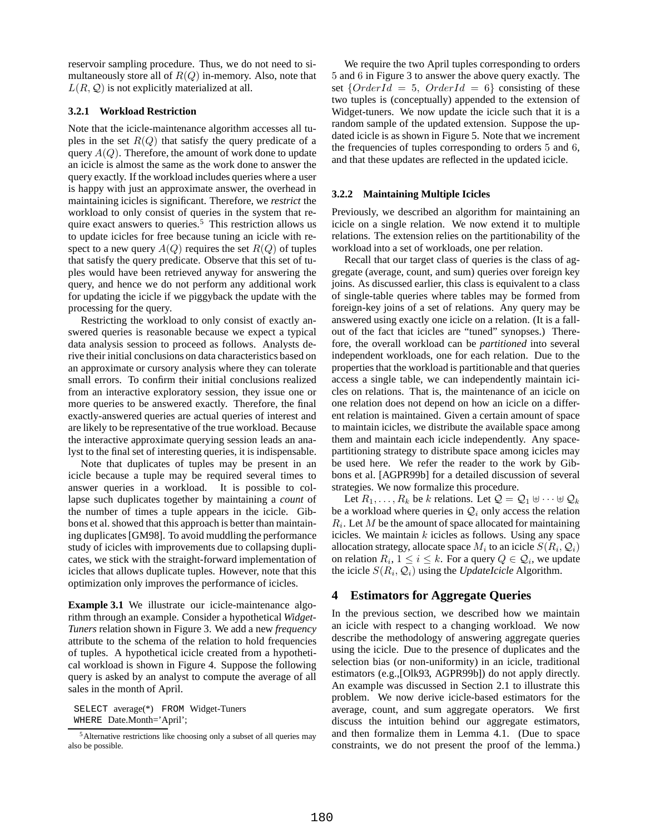reservoir sampling procedure. Thus, we do not need to simultaneously store all of  $R(Q)$  in-memory. Also, note that  $L(R, \mathcal{Q})$  is not explicitly materialized at all.

## **3.2.1 Workload Restriction**

Note that the icicle-maintenance algorithm accesses all tuples in the set  $R(Q)$  that satisfy the query predicate of a query  $A(Q)$ . Therefore, the amount of work done to update an icicle is almost the same as the work done to answer the query exactly. If the workload includes queries where a user is happy with just an approximate answer, the overhead in maintaining icicles is significant. Therefore, we *restrict* the workload to only consist of queries in the system that require exact answers to queries.<sup>5</sup> This restriction allows us to update icicles for free because tuning an icicle with respect to a new query  $A(Q)$  requires the set  $R(Q)$  of tuples that satisfy the query predicate. Observe that this set of tuples would have been retrieved anyway for answering the query, and hence we do not perform any additional work for updating the icicle if we piggyback the update with the processing for the query.

Restricting the workload to only consist of exactly answered queries is reasonable because we expect a typical data analysis session to proceed as follows. Analysts derive their initial conclusions on data characteristics based on an approximate or cursory analysis where they can tolerate small errors. To confirm their initial conclusions realized from an interactive exploratory session, they issue one or more queries to be answered exactly. Therefore, the final exactly-answered queries are actual queries of interest and are likely to be representative of the true workload. Because the interactive approximate querying session leads an analyst to the final set of interesting queries, it is indispensable.

Note that duplicates of tuples may be present in an icicle because a tuple may be required several times to answer queries in a workload. It is possible to collapse such duplicates together by maintaining a *count* of the number of times a tuple appears in the icicle. Gibbons et al. showed that this approach is better than maintaining duplicates[GM98]. To avoid muddling the performance study of icicles with improvements due to collapsing duplicates, we stick with the straight-forward implementation of icicles that allows duplicate tuples. However, note that this optimization only improves the performance of icicles.

**Example 3.1** We illustrate our icicle-maintenance algorithm through an example. Consider a hypothetical *Widget-Tuners* relation shown in Figure 3. We add a new *frequency* attribute to the schema of the relation to hold frequencies of tuples. A hypothetical icicle created from a hypothetical workload is shown in Figure 4. Suppose the following query is asked by an analyst to compute the average of all sales in the month of April.

SELECT average(\*) FROM Widget-Tuners WHERE Date.Month='April';

We require the two April tuples corresponding to orders 5 and 6 in Figure 3 to answer the above query exactly. The set  $\{OrderId = 5, OrderId = 6\}$  consisting of these two tuples is (conceptually) appended to the extension of Widget-tuners. We now update the icicle such that it is a random sample of the updated extension. Suppose the updated icicle is as shown in Figure 5. Note that we increment the frequencies of tuples corresponding to orders 5 and 6, and that these updates are reflected in the updated icicle.

#### **3.2.2 Maintaining Multiple Icicles**

Previously, we described an algorithm for maintaining an icicle on a single relation. We now extend it to multiple relations. The extension relies on the partitionability of the workload into a set of workloads, one per relation.

Recall that our target class of queries is the class of aggregate (average, count, and sum) queries over foreign key joins. As discussed earlier, this class is equivalent to a class of single-table queries where tables may be formed from foreign-key joins of a set of relations. Any query may be answered using exactly one icicle on a relation. (It is a fallout of the fact that icicles are "tuned" synopses.) Therefore, the overall workload can be *partitioned* into several independent workloads, one for each relation. Due to the properties that the workload is partitionable and that queries access a single table, we can independently maintain icicles on relations. That is, the maintenance of an icicle on one relation does not depend on how an icicle on a different relation is maintained. Given a certain amount of space to maintain icicles, we distribute the available space among them and maintain each icicle independently. Any spacepartitioning strategy to distribute space among icicles may be used here. We refer the reader to the work by Gibbons et al. [AGPR99b] for a detailed discussion of several strategies. We now formalize this procedure.

Let  $R_1, \ldots, R_k$  be k relations. Let  $\mathcal{Q} = \mathcal{Q}_1 \uplus \cdots \uplus \mathcal{Q}_k$ be a workload where queries in  $\mathcal{Q}_i$  only access the relation  $R_i$ . Let M be the amount of space allocated for maintaining icicles. We maintain  $k$  icicles as follows. Using any space allocation strategy, allocate space  $M_i$  to an icicle  $S(R_i,\mathcal{Q}_i)$ on relation  $R_i$ ,  $1 \leq i \leq k$ . For a query  $Q \in \mathcal{Q}_i$ , we update the icicle  $S(R_i, \mathcal{Q}_i)$  using the *UpdateIcicle* Algorithm.

# **4 Estimators for Aggregate Queries**

In the previous section, we described how we maintain an icicle with respect to a changing workload. We now describe the methodology of answering aggregate queries using the icicle. Due to the presence of duplicates and the selection bias (or non-uniformity) in an icicle, traditional estimators (e.g.,[Olk93, AGPR99b]) do not apply directly. An example was discussed in Section 2.1 to illustrate this problem. We now derive icicle-based estimators for the average, count, and sum aggregate operators. We first discuss the intuition behind our aggregate estimators, and then formalize them in Lemma 4.1. (Due to space constraints, we do not present the proof of the lemma.)

<sup>5</sup>Alternative restrictions like choosing only a subset of all queries may also be possible.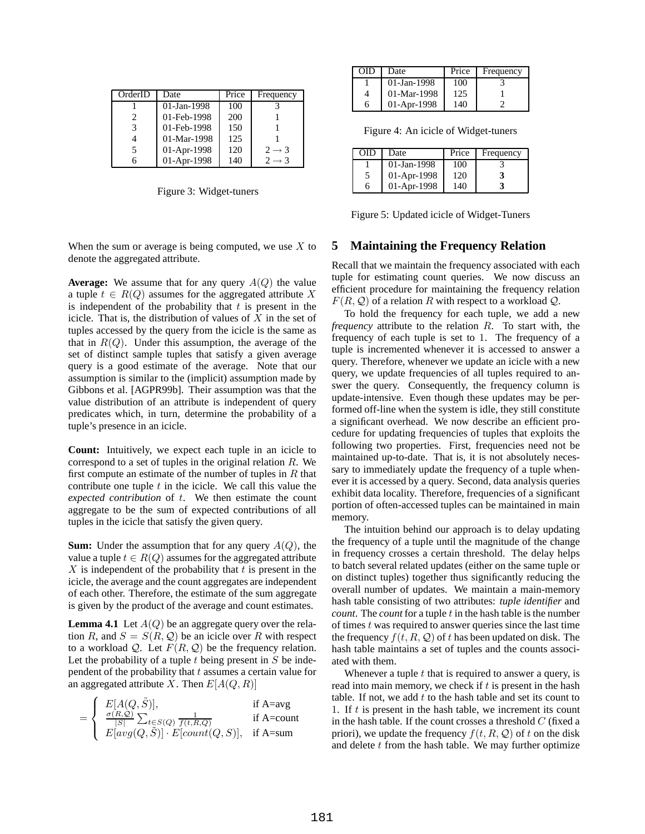| OrderID | Date           | Price | Frequency         |
|---------|----------------|-------|-------------------|
|         | $01$ -Jan-1998 | 100   |                   |
| 2.      | 01-Feb-1998    | 200   |                   |
|         | 01-Feb-1998    | 150   |                   |
|         | 01-Mar-1998    | 125   |                   |
|         | 01-Apr-1998    | 120   | $2 \rightarrow 3$ |
|         | 01-Apr-1998    | 140   | $2 \rightarrow 3$ |

Figure 3: Widget-tuners

| ाा | Date           | Price | Frequency |
|----|----------------|-------|-----------|
|    | $01$ -Jan-1998 | 100   |           |
|    | 01-Mar-1998    | 125   |           |
| h  | 01-Apr-1998    | 140   |           |

Figure 4: An icicle of Widget-tuners

| OID | Date        | Price | Frequency |
|-----|-------------|-------|-----------|
|     | 01-Jan-1998 | 100   |           |
| 5   | 01-Apr-1998 | 120   |           |
| 6   | 01-Apr-1998 | 140   |           |

Figure 5: Updated icicle of Widget-Tuners

When the sum or average is being computed, we use  $X$  to denote the aggregated attribute.

**Average:** We assume that for any query A(Q) the value a tuple  $t \in R(Q)$  assumes for the aggregated attribute X is independent of the probability that  $t$  is present in the icicle. That is, the distribution of values of  $X$  in the set of tuples accessed by the query from the icicle is the same as that in  $R(Q)$ . Under this assumption, the average of the set of distinct sample tuples that satisfy a given average query is a good estimate of the average. Note that our assumption is similar to the (implicit) assumption made by Gibbons et al. [AGPR99b]. Their assumption was that the value distribution of an attribute is independent of query predicates which, in turn, determine the probability of a tuple's presence in an icicle.

**Count:** Intuitively, we expect each tuple in an icicle to correspond to a set of tuples in the original relation  $R$ . We first compute an estimate of the number of tuples in  $R$  that contribute one tuple  $t$  in the icicle. We call this value the *expected contribution* of t. We then estimate the count aggregate to be the sum of expected contributions of all tuples in the icicle that satisfy the given query.

**Sum:** Under the assumption that for any query  $A(Q)$ , the value a tuple  $t \in R(Q)$  assumes for the aggregated attribute X is independent of the probability that  $t$  is present in the icicle, the average and the count aggregates are independent of each other. Therefore, the estimate of the sum aggregate is given by the product of the average and count estimates.

**Lemma 4.1** Let  $A(Q)$  be an aggregate query over the relation R, and  $S = S(R, Q)$  be an icicle over R with respect to a workload Q. Let  $F(R, Q)$  be the frequency relation. Let the probability of a tuple  $t$  being present in  $S$  be independent of the probability that  $t$  assumes a certain value for an aggregated attribute X. Then  $E[A(Q, R)]$ 

| $\int E[A(Q,\tilde{S})],$                                                            | if $A = avg$ |
|--------------------------------------------------------------------------------------|--------------|
| $\int_{\mathcal{S}} \frac{\sigma(R, Q)}{ S } \sum_{t \in S(Q)} \frac{1}{f(t, R, Q)}$ | if $A=count$ |
| $E[avg(Q, S)] \cdot E[count(Q, S)], \text{ if A=sum}$                                |              |

# **5 Maintaining the Frequency Relation**

Recall that we maintain the frequency associated with each tuple for estimating count queries. We now discuss an efficient procedure for maintaining the frequency relation  $F(R, Q)$  of a relation R with respect to a workload Q.

To hold the frequency for each tuple, we add a new *frequency* attribute to the relation R. To start with, the frequency of each tuple is set to 1. The frequency of a tuple is incremented whenever it is accessed to answer a query. Therefore, whenever we update an icicle with a new query, we update frequencies of all tuples required to answer the query. Consequently, the frequency column is update-intensive. Even though these updates may be performed off-line when the system is idle, they still constitute a significant overhead. We now describe an efficient procedure for updating frequencies of tuples that exploits the following two properties. First, frequencies need not be maintained up-to-date. That is, it is not absolutely necessary to immediately update the frequency of a tuple whenever it is accessed by a query. Second, data analysis queries exhibit data locality. Therefore, frequencies of a significant portion of often-accessed tuples can be maintained in main memory.

The intuition behind our approach is to delay updating the frequency of a tuple until the magnitude of the change in frequency crosses a certain threshold. The delay helps to batch several related updates (either on the same tuple or on distinct tuples) together thus significantly reducing the overall number of updates. We maintain a main-memory hash table consisting of two attributes: *tuple identifier* and *count*. The *count* for a tuple t in the hash table is the number of times  $t$  was required to answer queries since the last time the frequency  $f(t, R, Q)$  of t has been updated on disk. The hash table maintains a set of tuples and the counts associated with them.

Whenever a tuple  $t$  that is required to answer a query, is read into main memory, we check if  $t$  is present in the hash table. If not, we add  $t$  to the hash table and set its count to 1. If  $t$  is present in the hash table, we increment its count in the hash table. If the count crosses a threshold  $C$  (fixed a priori), we update the frequency  $f(t, R, Q)$  of t on the disk and delete  $t$  from the hash table. We may further optimize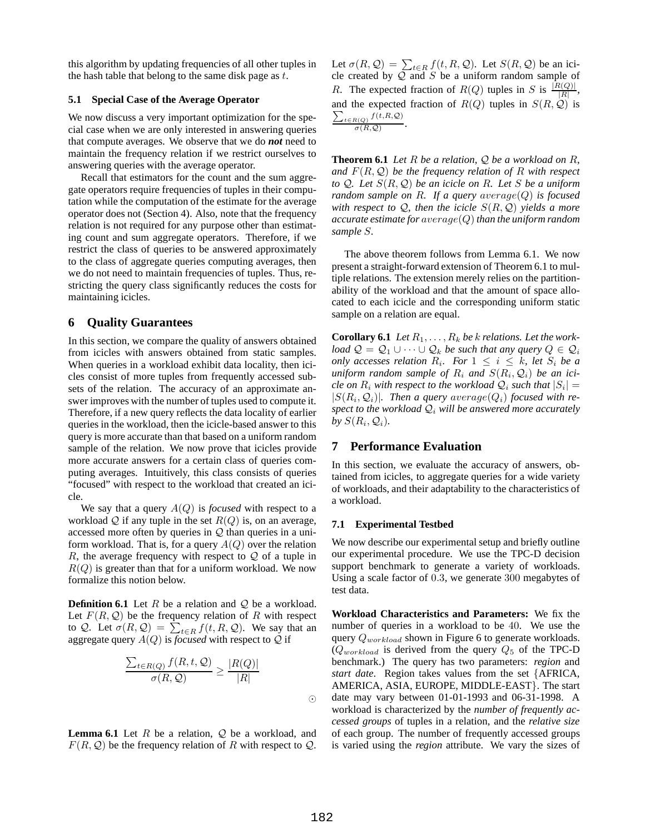this algorithm by updating frequencies of all other tuples in the hash table that belong to the same disk page as  $t$ .

## **5.1 Special Case of the Average Operator**

We now discuss a very important optimization for the special case when we are only interested in answering queries that compute averages. We observe that we do *not* need to maintain the frequency relation if we restrict ourselves to answering queries with the average operator.

Recall that estimators for the count and the sum aggregate operators require frequencies of tuples in their computation while the computation of the estimate for the average operator does not (Section 4). Also, note that the frequency relation is not required for any purpose other than estimating count and sum aggregate operators. Therefore, if we restrict the class of queries to be answered approximately to the class of aggregate queries computing averages, then we do not need to maintain frequencies of tuples. Thus, restricting the query class significantly reduces the costs for maintaining icicles.

## **6 Quality Guarantees**

In this section, we compare the quality of answers obtained from icicles with answers obtained from static samples. When queries in a workload exhibit data locality, then icicles consist of more tuples from frequently accessed subsets of the relation. The accuracy of an approximate answer improves with the number of tuples used to compute it. Therefore, if a new query reflects the data locality of earlier queries in the workload, then the icicle-based answer to this query is more accurate than that based on a uniform random sample of the relation. We now prove that icicles provide more accurate answers for a certain class of queries computing averages. Intuitively, this class consists of queries "focused" with respect to the workload that created an icicle.

We say that a query  $A(Q)$  is *focused* with respect to a workload Q if any tuple in the set  $R(Q)$  is, on an average, accessed more often by queries in  $Q$  than queries in a uniform workload. That is, for a query  $A(Q)$  over the relation R, the average frequency with respect to  $Q$  of a tuple in  $R(Q)$  is greater than that for a uniform workload. We now formalize this notion below.

**Definition 6.1** Let  $R$  be a relation and  $Q$  be a workload. Let  $F(R, Q)$  be the frequency relation of R with respect to Q. Let  $\sigma(R, Q) = \sum_{t \in R} f(t, R, Q)$ . We say that an aggregate query  $A(Q)$  is *focused* with respect to Q if

$$
\frac{\sum_{t \in R(Q)} f(R, t, Q)}{\sigma(R, Q)} \ge \frac{|R(Q)|}{|R|}
$$

**Lemma 6.1** Let  $R$  be a relation,  $Q$  be a workload, and  $F(R, Q)$  be the frequency relation of R with respect to Q. Let  $\sigma(R, \mathcal{Q}) = \sum_{t \in R} f(t, R, \mathcal{Q})$ . Let  $S(R, \mathcal{Q})$  be an icicle created by  $Q$  and  $S$  be a uniform random sample of R. The expected fraction of  $R(Q)$  tuples in S is  $\frac{|R(Q)|}{|R|}$ , and the expected fraction of  $R(Q)$  tuples in  $S(R, Q)$  is  $\sum_{t \in R(Q)} f(t, R, Q)$  $\sigma(R,\mathcal{Q})$ .

**Theorem 6.1** *Let* R *be a relation,* Q *be a workload on* R*, and*  $F(R, Q)$  *be the frequency relation of* R *with respect to* Q*. Let* S(R, Q) *be an icicle on* R*. Let* S *be a uniform random sample on*  $R$ *. If a query*  $average(Q)$  *is focused with respect to*  $Q$ *, then the icicle*  $S(R, Q)$  *yields a more accurate estimate for* average(Q) *than the uniform random sample* S*.*

The above theorem follows from Lemma 6.1. We now present a straight-forward extension of Theorem 6.1 to multiple relations. The extension merely relies on the partitionability of the workload and that the amount of space allocated to each icicle and the corresponding uniform static sample on a relation are equal.

**Corollary 6.1** *Let*  $R_1, \ldots, R_k$  *be k relations. Let the workload*  $\mathcal{Q} = \mathcal{Q}_1 \cup \cdots \cup \mathcal{Q}_k$  *be such that any query*  $Q \in \mathcal{Q}_i$ *only accesses relation*  $R_i$ *. For*  $1 \leq i \leq k$ *, let*  $S_i$  *be a*  $u$ *niform random sample of*  $R_i$  *and*  $S(R_i, Q_i)$  *be an icicle* on  $R_i$  with respect to the workload  $\mathcal{Q}_i$  such that  $|S_i|$  =  $|S(R_i, \mathcal{Q}_i)|$ . Then a query  $average(Q_i)$  focused with re*spect to the workload*  $Q_i$  *will be answered more accurately* by  $S(R_i, \mathcal{Q}_i)$ .

## **7 Performance Evaluation**

In this section, we evaluate the accuracy of answers, obtained from icicles, to aggregate queries for a wide variety of workloads, and their adaptability to the characteristics of a workload.

#### **7.1 Experimental Testbed**

We now describe our experimental setup and briefly outline our experimental procedure. We use the TPC-D decision support benchmark to generate a variety of workloads. Using a scale factor of 0.3, we generate 300 megabytes of test data.

**Workload Characteristics and Parameters:** We fix the number of queries in a workload to be 40. We use the query  $Q_{workload}$  shown in Figure 6 to generate workloads.  $(Q_{workload}$  is derived from the query  $Q_5$  of the TPC-D benchmark.) The query has two parameters: *region* and *start date*. Region takes values from the set {AFRICA, AMERICA, ASIA, EUROPE, MIDDLE-EAST}. The start date may vary between 01-01-1993 and 06-31-1998. A workload is characterized by the *number of frequently accessed groups* of tuples in a relation, and the *relative size* of each group. The number of frequently accessed groups is varied using the *region* attribute. We vary the sizes of

 $\odot$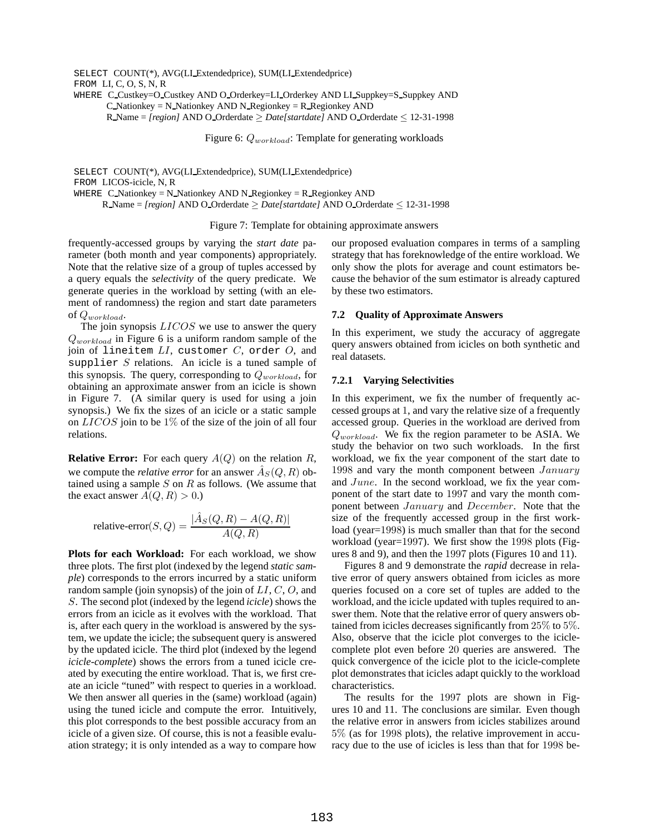SELECT COUNT(\*), AVG(LI Extendedprice), SUM(LI Extendedprice) FROM LI, C, O, S, N, R WHERE C\_Custkey=O\_Custkey AND O\_Orderkey=LI\_Orderkey AND LI\_Suppkey=S\_Suppkey AND C Nationkey = N Nationkey AND N Regionkey =  $R$  Regionkey AND

R Name = *[region]* AND O Orderdate ≥ *Date[startdate]* AND O Orderdate ≤ 12-31-1998

Figure 6:  $Q_{workload}$ : Template for generating workloads

SELECT COUNT(\*), AVG(LI Extendedprice), SUM(LI Extendedprice) FROM LICOS-icicle, N, R WHERE C\_Nationkey = N\_Nationkey AND N\_Regionkey = R\_Regionkey AND R Name = *[region]* AND O Orderdate ≥ *Date[startdate]* AND O Orderdate ≤ 12-31-1998

Figure 7: Template for obtaining approximate answers

frequently-accessed groups by varying the *start date* parameter (both month and year components) appropriately. Note that the relative size of a group of tuples accessed by a query equals the *selectivity* of the query predicate. We generate queries in the workload by setting (with an element of randomness) the region and start date parameters of  $Q_{workload}$ .

The join synopsis  $LICOS$  we use to answer the query  $Q_{workload}$  in Figure 6 is a uniform random sample of the join of lineitem  $LI$ , customer  $C$ , order  $O$ , and supplier  $S$  relations. An icicle is a tuned sample of this synopsis. The query, corresponding to  $Q_{workload}$ , for obtaining an approximate answer from an icicle is shown in Figure 7. (A similar query is used for using a join synopsis.) We fix the sizes of an icicle or a static sample on  $LICOS$  join to be  $1\%$  of the size of the join of all four relations.

**Relative Error:** For each query  $A(Q)$  on the relation  $R$ , we compute the *relative error* for an answer  $\hat{A}_S(Q, R)$  obtained using a sample  $S$  on  $R$  as follows. (We assume that the exact answer  $A(Q, R) > 0.$ )

relative-error
$$
(S, Q)
$$
 = 
$$
\frac{|\hat{A}_S(Q, R) - A(Q, R)|}{A(Q, R)}
$$

**Plots for each Workload:** For each workload, we show three plots. The first plot (indexed by the legend *static sample*) corresponds to the errors incurred by a static uniform random sample (join synopsis) of the join of  $LI, C, O$ , and S. The second plot (indexed by the legend *icicle*) shows the errors from an icicle as it evolves with the workload. That is, after each query in the workload is answered by the system, we update the icicle; the subsequent query is answered by the updated icicle. The third plot (indexed by the legend *icicle-complete*) shows the errors from a tuned icicle created by executing the entire workload. That is, we first create an icicle "tuned" with respect to queries in a workload. We then answer all queries in the (same) workload (again) using the tuned icicle and compute the error. Intuitively, this plot corresponds to the best possible accuracy from an icicle of a given size. Of course, this is not a feasible evaluation strategy; it is only intended as a way to compare how

our proposed evaluation compares in terms of a sampling strategy that has foreknowledge of the entire workload. We only show the plots for average and count estimators because the behavior of the sum estimator is already captured by these two estimators.

#### **7.2 Quality of Approximate Answers**

In this experiment, we study the accuracy of aggregate query answers obtained from icicles on both synthetic and real datasets.

#### **7.2.1 Varying Selectivities**

In this experiment, we fix the number of frequently accessed groups at 1, and vary the relative size of a frequently accessed group. Queries in the workload are derived from  $Q_{workload}$ . We fix the region parameter to be ASIA. We study the behavior on two such workloads. In the first workload, we fix the year component of the start date to 1998 and vary the month component between  $January$ and June. In the second workload, we fix the year component of the start date to 1997 and vary the month component between January and December. Note that the size of the frequently accessed group in the first workload (year=1998) is much smaller than that for the second workload (year=1997). We first show the 1998 plots (Figures 8 and 9), and then the 1997 plots (Figures 10 and 11).

Figures 8 and 9 demonstrate the *rapid* decrease in relative error of query answers obtained from icicles as more queries focused on a core set of tuples are added to the workload, and the icicle updated with tuples required to answer them. Note that the relative error of query answers obtained from icicles decreases significantly from 25% to 5%. Also, observe that the icicle plot converges to the iciclecomplete plot even before 20 queries are answered. The quick convergence of the icicle plot to the icicle-complete plot demonstrates that icicles adapt quickly to the workload characteristics.

The results for the 1997 plots are shown in Figures 10 and 11. The conclusions are similar. Even though the relative error in answers from icicles stabilizes around 5% (as for 1998 plots), the relative improvement in accuracy due to the use of icicles is less than that for 1998 be-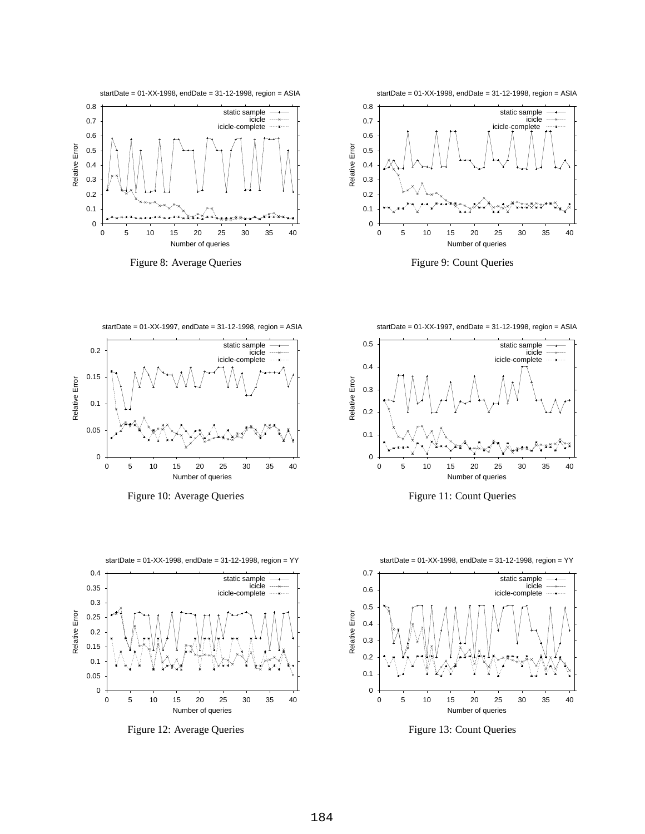





startDate = 01-XX-1998, endDate = 31-12-1998, region = ASIA

0.8





startDate = 01-XX-1997, endDate = 31-12-1998, region = ASIA



Figure 10: Average Queries Figure 11: Count Queries

startDate = 01-XX-1998, endDate = 31-12-1998, region = YY









Figure 12: Average Queries Figure 13: Count Queries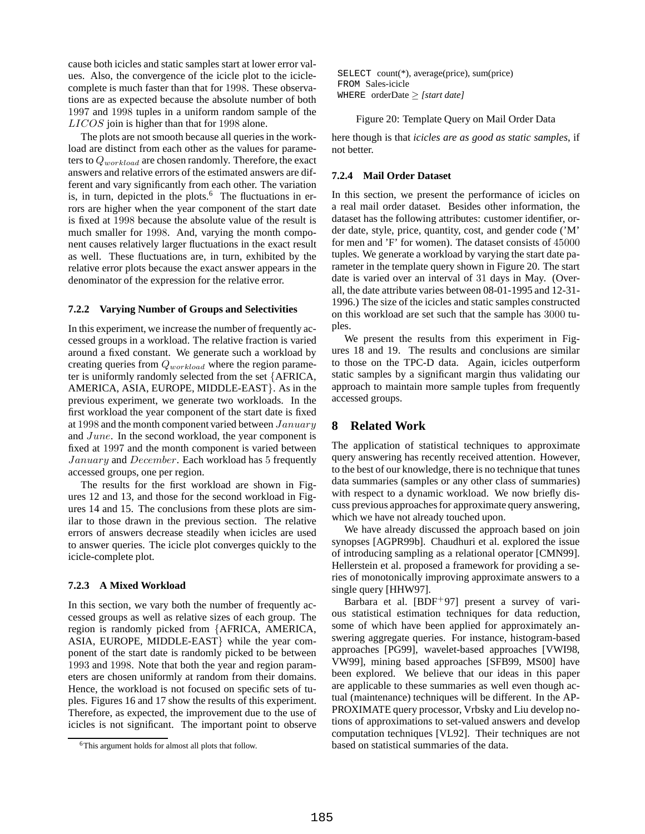cause both icicles and static samples start at lower error values. Also, the convergence of the icicle plot to the iciclecomplete is much faster than that for 1998. These observations are as expected because the absolute number of both 1997 and 1998 tuples in a uniform random sample of the LICOS join is higher than that for 1998 alone.

The plots are not smooth because all queries in the workload are distinct from each other as the values for parameters to  $Q_{workload}$  are chosen randomly. Therefore, the exact answers and relative errors of the estimated answers are different and vary significantly from each other. The variation is, in turn, depicted in the plots. $6$  The fluctuations in errors are higher when the year component of the start date is fixed at 1998 because the absolute value of the result is much smaller for 1998. And, varying the month component causes relatively larger fluctuations in the exact result as well. These fluctuations are, in turn, exhibited by the relative error plots because the exact answer appears in the denominator of the expression for the relative error.

#### **7.2.2 Varying Number of Groups and Selectivities**

In this experiment, we increase the number of frequently accessed groups in a workload. The relative fraction is varied around a fixed constant. We generate such a workload by creating queries from  $Q_{workload}$  where the region parameter is uniformly randomly selected from the set {AFRICA, AMERICA, ASIA, EUROPE, MIDDLE-EAST}. As in the previous experiment, we generate two workloads. In the first workload the year component of the start date is fixed at 1998 and the month component varied between  $January$ and June. In the second workload, the year component is fixed at 1997 and the month component is varied between January and December. Each workload has 5 frequently accessed groups, one per region.

The results for the first workload are shown in Figures 12 and 13, and those for the second workload in Figures 14 and 15. The conclusions from these plots are similar to those drawn in the previous section. The relative errors of answers decrease steadily when icicles are used to answer queries. The icicle plot converges quickly to the icicle-complete plot.

#### **7.2.3 A Mixed Workload**

In this section, we vary both the number of frequently accessed groups as well as relative sizes of each group. The region is randomly picked from {AFRICA, AMERICA, ASIA, EUROPE, MIDDLE-EAST} while the year component of the start date is randomly picked to be between 1993 and 1998. Note that both the year and region parameters are chosen uniformly at random from their domains. Hence, the workload is not focused on specific sets of tuples. Figures 16 and 17 show the results of this experiment. Therefore, as expected, the improvement due to the use of icicles is not significant. The important point to observe SELECT count(\*), average(price), sum(price) FROM Sales-icicle WHERE orderDate ≥ *[start date]*

#### Figure 20: Template Query on Mail Order Data

here though is that *icicles are as good as static samples*, if not better.

#### **7.2.4 Mail Order Dataset**

In this section, we present the performance of icicles on a real mail order dataset. Besides other information, the dataset has the following attributes: customer identifier, order date, style, price, quantity, cost, and gender code ('M' for men and 'F' for women). The dataset consists of 45000 tuples. We generate a workload by varying the start date parameter in the template query shown in Figure 20. The start date is varied over an interval of 31 days in May. (Overall, the date attribute varies between 08-01-1995 and 12-31- 1996.) The size of the icicles and static samples constructed on this workload are set such that the sample has 3000 tuples.

We present the results from this experiment in Figures 18 and 19. The results and conclusions are similar to those on the TPC-D data. Again, icicles outperform static samples by a significant margin thus validating our approach to maintain more sample tuples from frequently accessed groups.

## **8 Related Work**

The application of statistical techniques to approximate query answering has recently received attention. However, to the best of our knowledge, there is no technique that tunes data summaries (samples or any other class of summaries) with respect to a dynamic workload. We now briefly discuss previous approachesfor approximate query answering, which we have not already touched upon.

We have already discussed the approach based on join synopses [AGPR99b]. Chaudhuri et al. explored the issue of introducing sampling as a relational operator [CMN99]. Hellerstein et al. proposed a framework for providing a series of monotonically improving approximate answers to a single query [HHW97].

Barbara et al. [BDF<sup>+97]</sup> present a survey of various statistical estimation techniques for data reduction, some of which have been applied for approximately answering aggregate queries. For instance, histogram-based approaches [PG99], wavelet-based approaches [VWI98, VW99], mining based approaches [SFB99, MS00] have been explored. We believe that our ideas in this paper are applicable to these summaries as well even though actual (maintenance) techniques will be different. In the AP-PROXIMATE query processor, Vrbsky and Liu develop notions of approximations to set-valued answers and develop computation techniques [VL92]. Their techniques are not based on statistical summaries of the data.

<sup>6</sup>This argument holds for almost all plots that follow.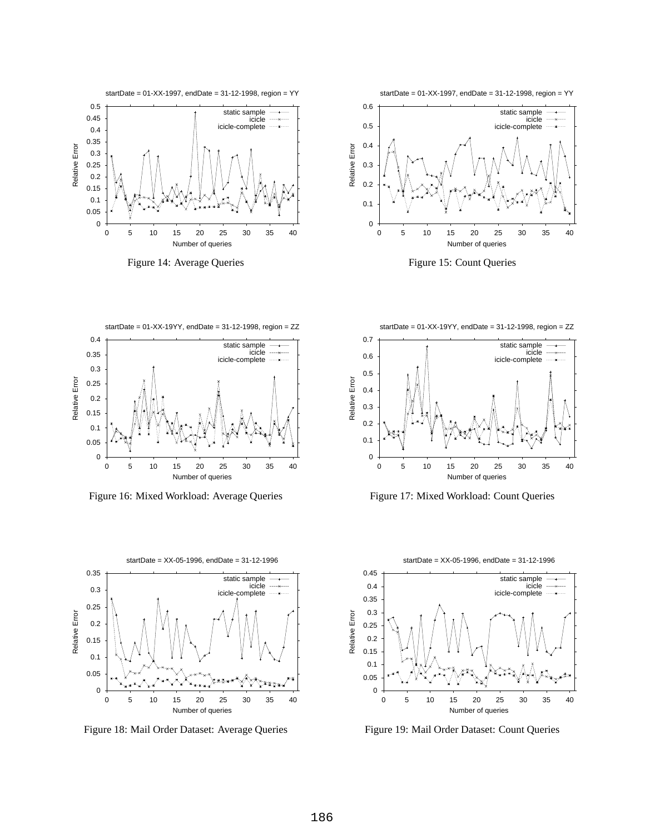









Figure 16: Mixed Workload: Average Queries Figure 17: Mixed Workload: Count Queries



Figure 18: Mail Order Dataset: Average Queries Figure 19: Mail Order Dataset: Count Queries